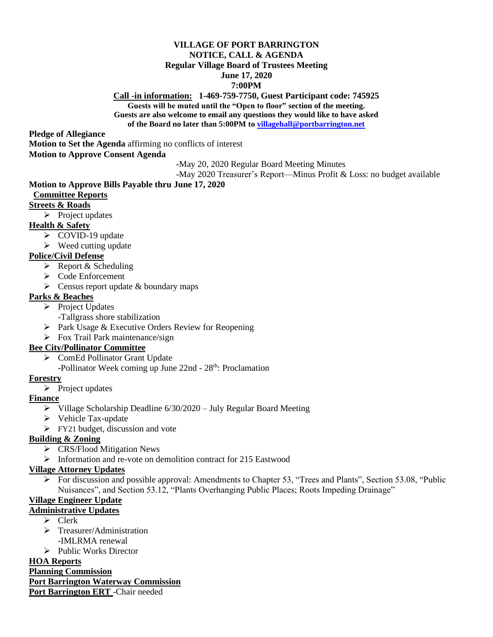#### **VILLAGE OF PORT BARRINGTON NOTICE, CALL & AGENDA Regular Village Board of Trustees Meeting June 17, 2020**

#### **7:00PM**

**Call -in information: 1-469-759-7750, Guest Participant code: 745925 Guests will be muted until the "Open to floor" section of the meeting. Guests are also welcome to email any questions they would like to have asked of the Board no later than 5:00PM to [villagehall@portbarrington.net](mailto:villagehall@portbarrington.net)**

**Pledge of Allegiance**

**Motion to Set the Agenda** affirming no conflicts of interest

**Motion to Approve Consent Agenda**

**-**May 20, 2020 Regular Board Meeting Minutes

-May 2020 Treasurer's Report—Minus Profit & Loss: no budget available

## **Motion to Approve Bills Payable thru June 17, 2020**

#### **Committee Reports**

#### **Streets & Roads**

 $\triangleright$  Project updates

## **Health & Safety**

- ➢ COVID-19 update
- $\triangleright$  Weed cutting update

## **Police/Civil Defense**

- $\triangleright$  Report & Scheduling
- ➢ Code Enforcement
- $\triangleright$  Census report update & boundary maps

## **Parks & Beaches**

- ➢ Project Updates
	- -Tallgrass shore stabilization
- ➢ Park Usage & Executive Orders Review for Reopening
- $\triangleright$  Fox Trail Park maintenance/sign

## **Bee City/Pollinator Committee**

- ➢ ComEd Pollinator Grant Update
- -Pollinator Week coming up June 22nd 28<sup>th</sup>: Proclamation

## **Forestry**

➢ Project updates

## **Finance**

- ➢ Village Scholarship Deadline 6/30/2020 July Regular Board Meeting
- ➢ Vehicle Tax-update
- ➢ FY21 budget, discussion and vote

## **Building & Zoning**

- ➢ CRS/Flood Mitigation News
- ➢ Information and re-vote on demolition contract for 215 Eastwood

## **Village Attorney Updates**

 $\triangleright$  For discussion and possible approval: Amendments to Chapter 53, "Trees and Plants", Section 53.08, "Public Nuisances", and Section 53.12, "Plants Overhanging Public Places; Roots Impeding Drainage"

# **Village Engineer Update**

## **Administrative Updates**

- ➢ Clerk
- ➢ Treasurer/Administration -IMLRMA renewal
- ➢ Public Works Director

## **HOA Reports**

**Planning Commission Port Barrington Waterway Commission Port Barrington ERT** -Chair needed